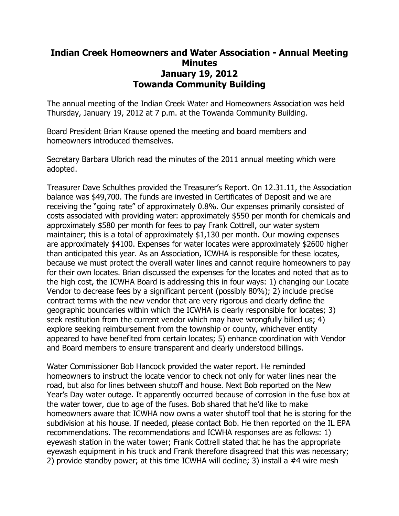## **Indian Creek Homeowners and Water Association - Annual Meeting Minutes January 19, 2012 Towanda Community Building**

The annual meeting of the Indian Creek Water and Homeowners Association was held Thursday, January 19, 2012 at 7 p.m. at the Towanda Community Building.

Board President Brian Krause opened the meeting and board members and homeowners introduced themselves.

Secretary Barbara Ulbrich read the minutes of the 2011 annual meeting which were adopted.

Treasurer Dave Schulthes provided the Treasurer's Report. On 12.31.11, the Association balance was \$49,700. The funds are invested in Certificates of Deposit and we are receiving the "going rate" of approximately 0.8%. Our expenses primarily consisted of costs associated with providing water: approximately \$550 per month for chemicals and approximately \$580 per month for fees to pay Frank Cottrell, our water system maintainer; this is a total of approximately \$1,130 per month. Our mowing expenses are approximately \$4100. Expenses for water locates were approximately \$2600 higher than anticipated this year. As an Association, ICWHA is responsible for these locates, because we must protect the overall water lines and cannot require homeowners to pay for their own locates. Brian discussed the expenses for the locates and noted that as to the high cost, the ICWHA Board is addressing this in four ways: 1) changing our Locate Vendor to decrease fees by a significant percent (possibly 80%); 2) include precise contract terms with the new vendor that are very rigorous and clearly define the geographic boundaries within which the ICWHA is clearly responsible for locates; 3) seek restitution from the current vendor which may have wrongfully billed us; 4) explore seeking reimbursement from the township or county, whichever entity appeared to have benefited from certain locates; 5) enhance coordination with Vendor and Board members to ensure transparent and clearly understood billings.

Water Commissioner Bob Hancock provided the water report. He reminded homeowners to instruct the locate vendor to check not only for water lines near the road, but also for lines between shutoff and house. Next Bob reported on the New Year's Day water outage. It apparently occurred because of corrosion in the fuse box at the water tower, due to age of the fuses. Bob shared that he'd like to make homeowners aware that ICWHA now owns a water shutoff tool that he is storing for the subdivision at his house. If needed, please contact Bob. He then reported on the IL EPA recommendations. The recommendations and ICWHA responses are as follows: 1) eyewash station in the water tower; Frank Cottrell stated that he has the appropriate eyewash equipment in his truck and Frank therefore disagreed that this was necessary; 2) provide standby power; at this time ICWHA will decline; 3) install a #4 wire mesh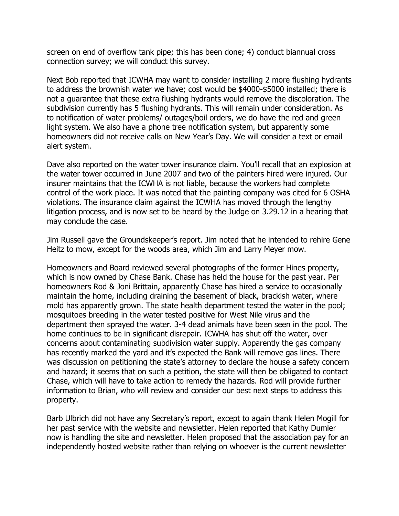screen on end of overflow tank pipe; this has been done; 4) conduct biannual cross connection survey; we will conduct this survey.

Next Bob reported that ICWHA may want to consider installing 2 more flushing hydrants to address the brownish water we have; cost would be \$4000-\$5000 installed; there is not a guarantee that these extra flushing hydrants would remove the discoloration. The subdivision currently has 5 flushing hydrants. This will remain under consideration. As to notification of water problems/ outages/boil orders, we do have the red and green light system. We also have a phone tree notification system, but apparently some homeowners did not receive calls on New Year's Day. We will consider a text or email alert system.

Dave also reported on the water tower insurance claim. You'll recall that an explosion at the water tower occurred in June 2007 and two of the painters hired were injured. Our insurer maintains that the ICWHA is not liable, because the workers had complete control of the work place. It was noted that the painting company was cited for 6 OSHA violations. The insurance claim against the ICWHA has moved through the lengthy litigation process, and is now set to be heard by the Judge on 3.29.12 in a hearing that may conclude the case.

Jim Russell gave the Groundskeeper's report. Jim noted that he intended to rehire Gene Heitz to mow, except for the woods area, which Jim and Larry Meyer mow.

Homeowners and Board reviewed several photographs of the former Hines property, which is now owned by Chase Bank. Chase has held the house for the past year. Per homeowners Rod & Joni Brittain, apparently Chase has hired a service to occasionally maintain the home, including draining the basement of black, brackish water, where mold has apparently grown. The state health department tested the water in the pool; mosquitoes breeding in the water tested positive for West Nile virus and the department then sprayed the water. 3-4 dead animals have been seen in the pool. The home continues to be in significant disrepair. ICWHA has shut off the water, over concerns about contaminating subdivision water supply. Apparently the gas company has recently marked the yard and it's expected the Bank will remove gas lines. There was discussion on petitioning the state's attorney to declare the house a safety concern and hazard; it seems that on such a petition, the state will then be obligated to contact Chase, which will have to take action to remedy the hazards. Rod will provide further information to Brian, who will review and consider our best next steps to address this property.

Barb Ulbrich did not have any Secretary's report, except to again thank Helen Mogill for her past service with the website and newsletter. Helen reported that Kathy Dumler now is handling the site and newsletter. Helen proposed that the association pay for an independently hosted website rather than relying on whoever is the current newsletter